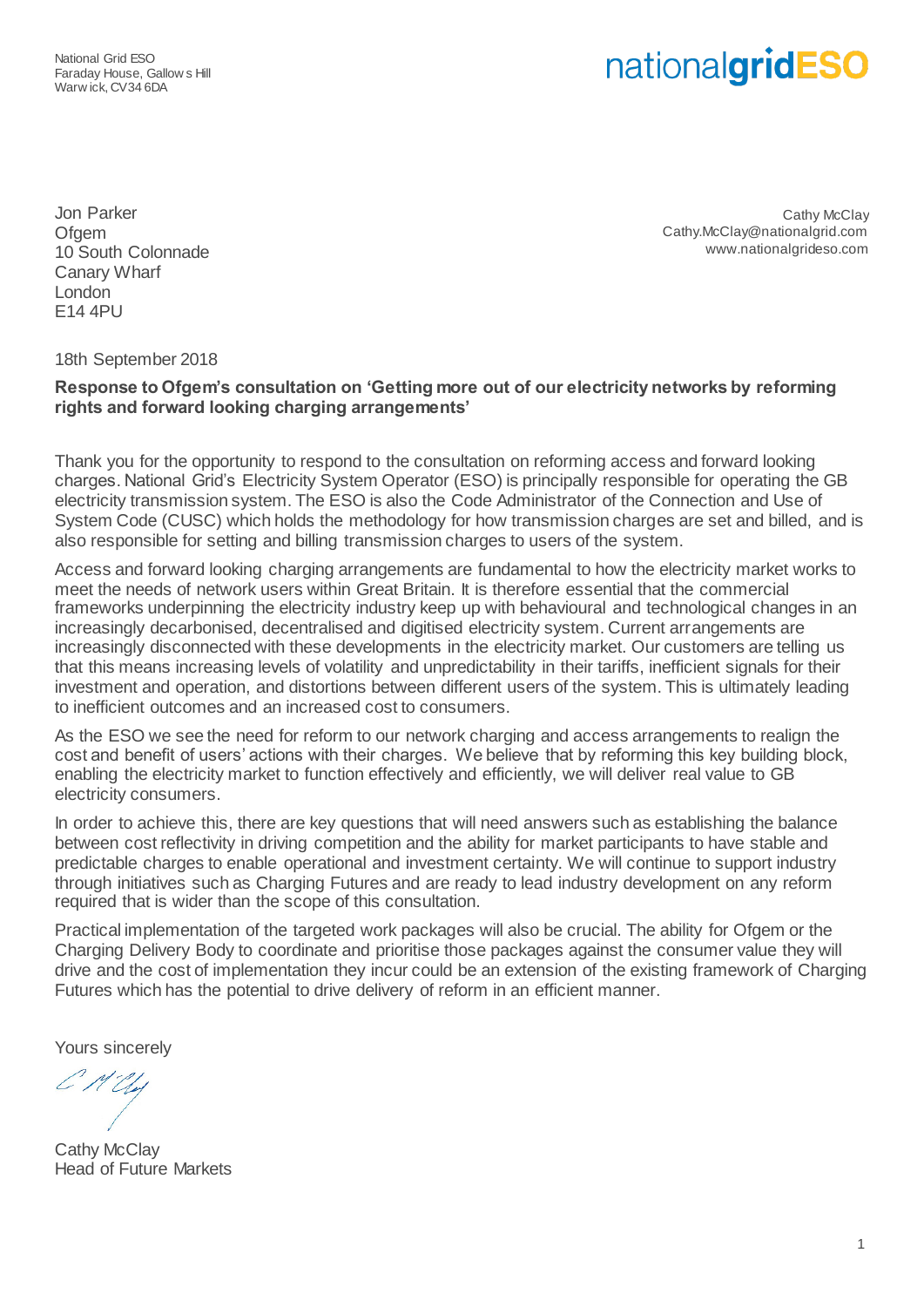National Grid ESO Faraday House, Gallow s Hill Warw ick, CV34 6DA

# nationalgridESO

Jon Parker **Ofgem** 10 South Colonnade Canary Wharf London E14 4PU

Cathy McClav Cathy.McClay@nationalgrid.com www.nationalgrideso.com

18th September 2018

#### **Response to Ofgem's consultation on 'Getting more out of our electricity networks by reforming rights and forward looking charging arrangements'**

Thank you for the opportunity to respond to the consultation on reforming access and forward looking charges. National Grid's Electricity System Operator (ESO) is principally responsible for operating the GB electricity transmission system. The ESO is also the Code Administrator of the Connection and Use of System Code (CUSC) which holds the methodology for how transmission charges are set and billed, and is also responsible for setting and billing transmission charges to users of the system.

Access and forward looking charging arrangements are fundamental to how the electricity market works to meet the needs of network users within Great Britain. It is therefore essential that the commercial frameworks underpinning the electricity industry keep up with behavioural and technological changes in an increasingly decarbonised, decentralised and digitised electricity system. Current arrangements are increasingly disconnected with these developments in the electricity market. Our customers are telling us that this means increasing levels of volatility and unpredictability in their tariffs, inefficient signals for their investment and operation, and distortions between different users of the system. This is ultimately leading to inefficient outcomes and an increased cost to consumers.

As the ESO we see the need for reform to our network charging and access arrangements to realign the cost and benefit of users' actions with their charges. We believe that by reforming this key building block, enabling the electricity market to function effectively and efficiently, we will deliver real value to GB electricity consumers.

In order to achieve this, there are key questions that will need answers such as establishing the balance between cost reflectivity in driving competition and the ability for market participants to have stable and predictable charges to enable operational and investment certainty. We will continue to support industry through initiatives such as Charging Futures and are ready to lead industry development on any reform required that is wider than the scope of this consultation.

Practical implementation of the targeted work packages will also be crucial. The ability for Ofgem or the Charging Delivery Body to coordinate and prioritise those packages against the consumer value they will drive and the cost of implementation they incur could be an extension of the existing framework of Charging Futures which has the potential to drive delivery of reform in an efficient manner.

Yours sincerely

**Cathy McClav** Head of Future Markets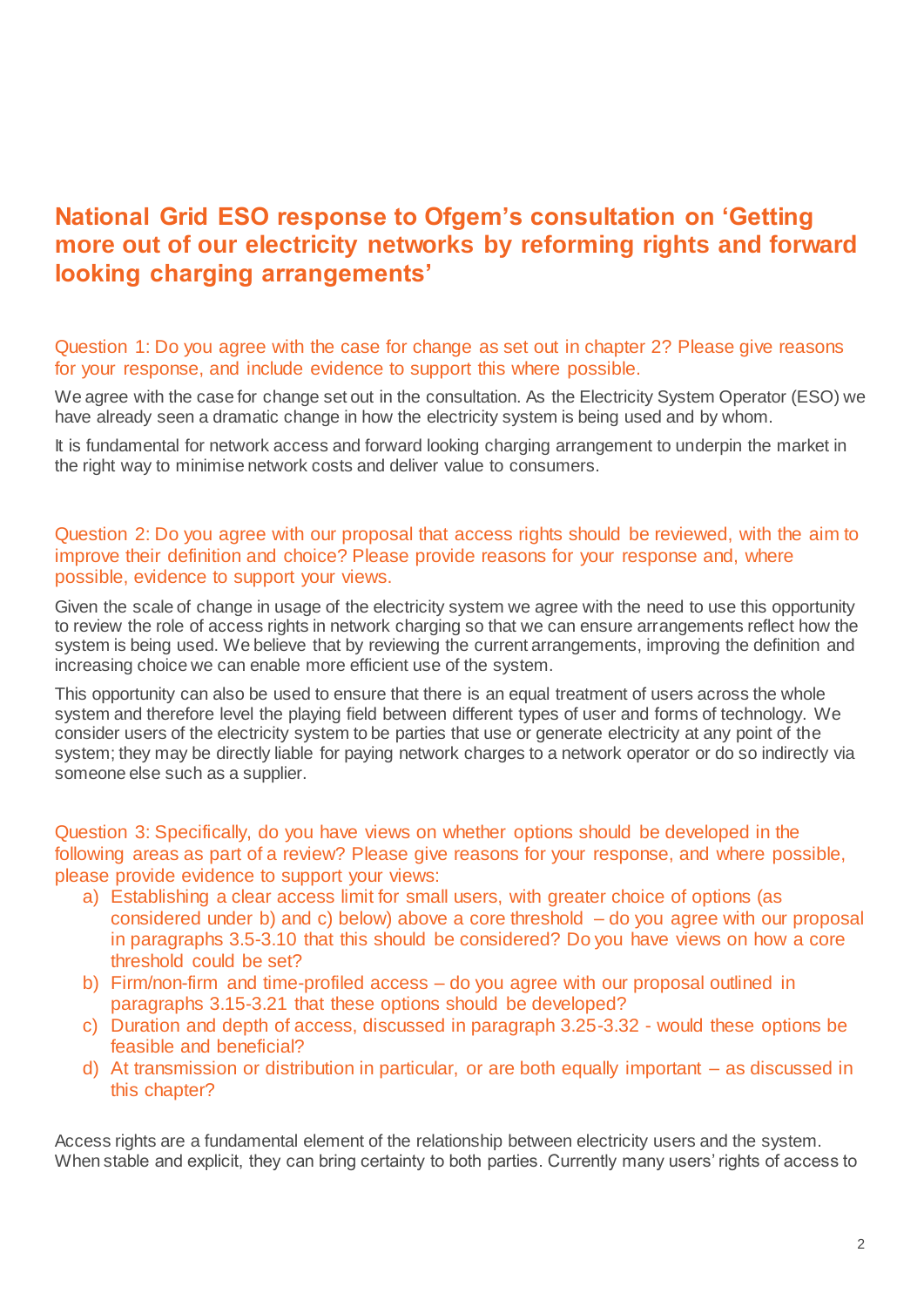## **National Grid ESO response to Ofgem's consultation on 'Getting more out of our electricity networks by reforming rights and forward looking charging arrangements'**

#### Question 1: Do you agree with the case for change as set out in chapter 2? Please give reasons for your response, and include evidence to support this where possible.

We agree with the case for change set out in the consultation. As the Electricity System Operator (ESO) we have already seen a dramatic change in how the electricity system is being used and by whom.

It is fundamental for network access and forward looking charging arrangement to underpin the market in the right way to minimise network costs and deliver value to consumers.

#### Question 2: Do you agree with our proposal that access rights should be reviewed, with the aim to improve their definition and choice? Please provide reasons for your response and, where possible, evidence to support your views.

Given the scale of change in usage of the electricity system we agree with the need to use this opportunity to review the role of access rights in network charging so that we can ensure arrangements reflect how the system is being used. We believe that by reviewing the current arrangements, improving the definition and increasing choice we can enable more efficient use of the system.

This opportunity can also be used to ensure that there is an equal treatment of users across the whole system and therefore level the playing field between different types of user and forms of technology. We consider users of the electricity system to be parties that use or generate electricity at any point of the system; they may be directly liable for paying network charges to a network operator or do so indirectly via someone else such as a supplier.

#### Question 3: Specifically, do you have views on whether options should be developed in the following areas as part of a review? Please give reasons for your response, and where possible, please provide evidence to support your views:

- a) Establishing a clear access limit for small users, with greater choice of options (as considered under b) and c) below) above a core threshold – do you agree with our proposal in paragraphs 3.5-3.10 that this should be considered? Do you have views on how a core threshold could be set?
- b) Firm/non-firm and time-profiled access do you agree with our proposal outlined in paragraphs 3.15-3.21 that these options should be developed?
- c) Duration and depth of access, discussed in paragraph 3.25-3.32 would these options be feasible and beneficial?
- d) At transmission or distribution in particular, or are both equally important as discussed in this chapter?

Access rights are a fundamental element of the relationship between electricity users and the system. When stable and explicit, they can bring certainty to both parties. Currently many users' rights of access to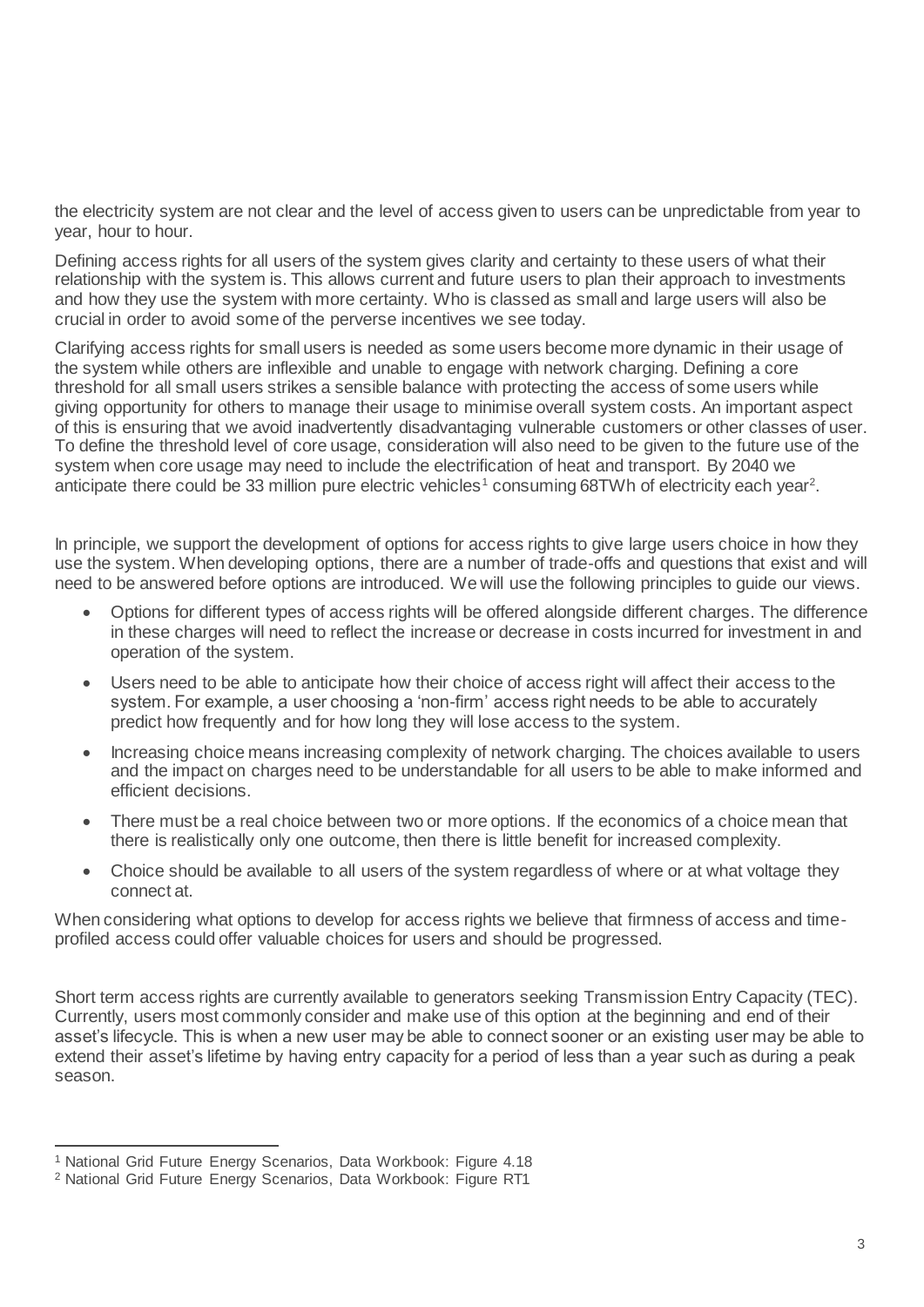the electricity system are not clear and the level of access given to users can be unpredictable from year to year, hour to hour.

Defining access rights for all users of the system gives clarity and certainty to these users of what their relationship with the system is. This allows current and future users to plan their approach to investments and how they use the system with more certainty. Who is classed as small and large users will also be crucial in order to avoid some of the perverse incentives we see today.

Clarifying access rights for small users is needed as some users become more dynamic in their usage of the system while others are inflexible and unable to engage with network charging. Defining a core threshold for all small users strikes a sensible balance with protecting the access of some users while giving opportunity for others to manage their usage to minimise overall system costs. An important aspect of this is ensuring that we avoid inadvertently disadvantaging vulnerable customers or other classes of user. To define the threshold level of core usage, consideration will also need to be given to the future use of the system when core usage may need to include the electrification of heat and transport. By 2040 we anticipate there could be 33 million pure electric vehicles<sup>1</sup> consuming 68TWh of electricity each year<sup>2</sup>.

In principle, we support the development of options for access rights to give large users choice in how they use the system. When developing options, there are a number of trade-offs and questions that exist and will need to be answered before options are introduced. We will use the following principles to guide our views.

- Options for different types of access rights will be offered alongside different charges. The difference in these charges will need to reflect the increase or decrease in costs incurred for investment in and operation of the system.
- Users need to be able to anticipate how their choice of access right will affect their access to the system. For example, a user choosing a 'non-firm' access right needs to be able to accurately predict how frequently and for how long they will lose access to the system.
- Increasing choice means increasing complexity of network charging. The choices available to users and the impact on charges need to be understandable for all users to be able to make informed and efficient decisions.
- There must be a real choice between two or more options. If the economics of a choice mean that there is realistically only one outcome, then there is little benefit for increased complexity.
- Choice should be available to all users of the system regardless of where or at what voltage they connect at.

When considering what options to develop for access rights we believe that firmness of access and timeprofiled access could offer valuable choices for users and should be progressed.

Short term access rights are currently available to generators seeking Transmission Entry Capacity (TEC). Currently, users most commonly consider and make use of this option at the beginning and end of their asset's lifecycle. This is when a new user may be able to connect sooner or an existing user may be able to extend their asset's lifetime by having entry capacity for a period of less than a year such as during a peak season.

l

<sup>&</sup>lt;sup>1</sup> National Grid Future Energy Scenarios, Data Workbook: Figure 4.18

<sup>2</sup> National Grid Future Energy Scenarios, Data Workbook: Figure RT1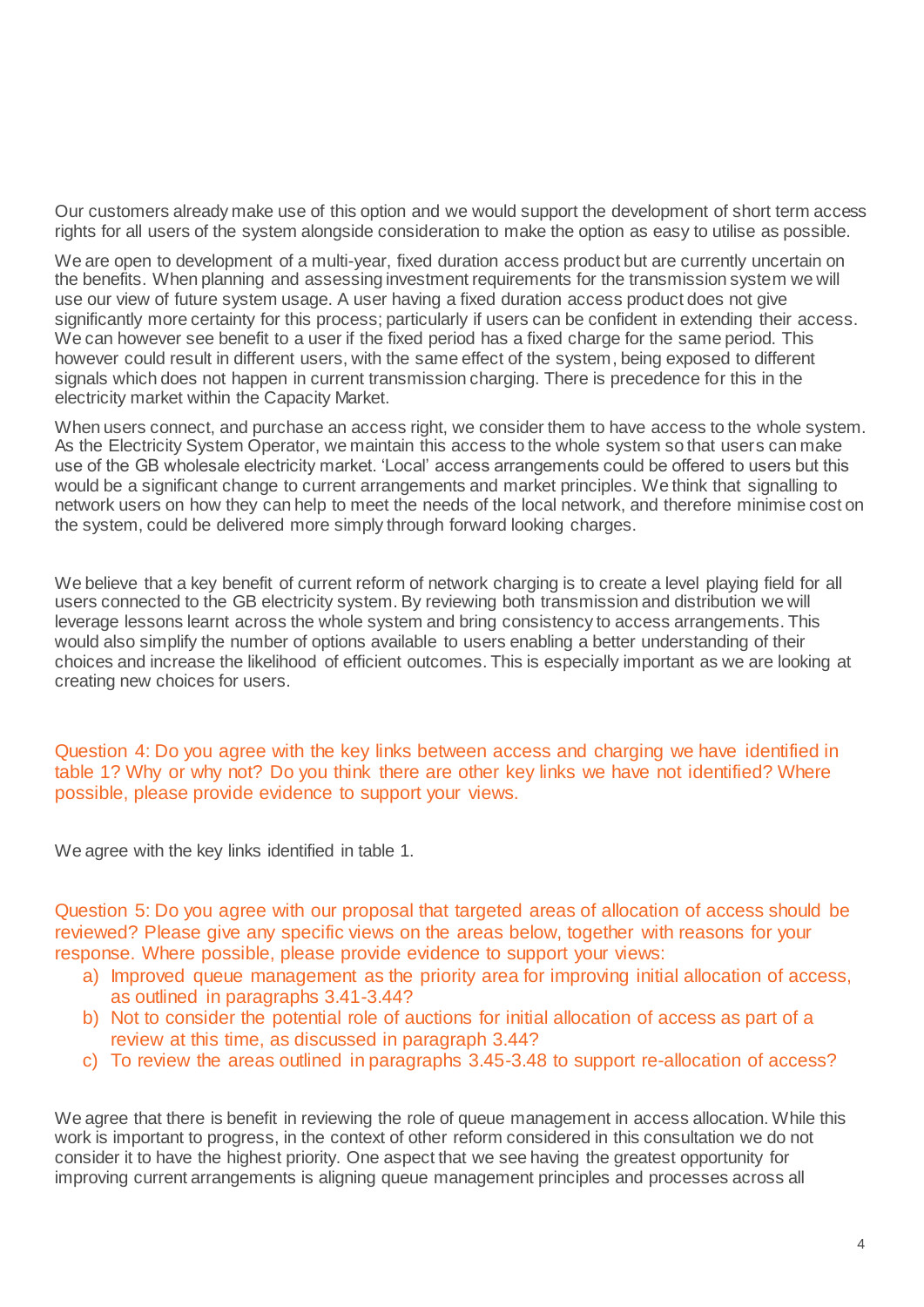Our customers already make use of this option and we would support the development of short term access rights for all users of the system alongside consideration to make the option as easy to utilise as possible.

We are open to development of a multi-year, fixed duration access product but are currently uncertain on the benefits. When planning and assessing investment requirements for the transmission system we will use our view of future system usage. A user having a fixed duration access product does not give significantly more certainty for this process; particularly if users can be confident in extending their access. We can however see benefit to a user if the fixed period has a fixed charge for the same period. This however could result in different users, with the same effect of the system, being exposed to different signals which does not happen in current transmission charging. There is precedence for this in the electricity market within the Capacity Market.

When users connect, and purchase an access right, we consider them to have access to the whole system. As the Electricity System Operator, we maintain this access to the whole system so that users can make use of the GB wholesale electricity market. 'Local' access arrangements could be offered to users but this would be a significant change to current arrangements and market principles. We think that signalling to network users on how they can help to meet the needs of the local network, and therefore minimise cost on the system, could be delivered more simply through forward looking charges.

We believe that a key benefit of current reform of network charging is to create a level playing field for all users connected to the GB electricity system. By reviewing both transmission and distribution we will leverage lessons learnt across the whole system and bring consistency to access arrangements. This would also simplify the number of options available to users enabling a better understanding of their choices and increase the likelihood of efficient outcomes. This is especially important as we are looking at creating new choices for users.

Question 4: Do you agree with the key links between access and charging we have identified in table 1? Why or why not? Do you think there are other key links we have not identified? Where possible, please provide evidence to support your views.

We agree with the key links identified in table 1.

Question 5: Do you agree with our proposal that targeted areas of allocation of access should be reviewed? Please give any specific views on the areas below, together with reasons for your response. Where possible, please provide evidence to support your views:

- a) Improved queue management as the priority area for improving initial allocation of access, as outlined in paragraphs 3.41-3.44?
- b) Not to consider the potential role of auctions for initial allocation of access as part of a review at this time, as discussed in paragraph 3.44?
- c) To review the areas outlined in paragraphs 3.45-3.48 to support re-allocation of access?

We agree that there is benefit in reviewing the role of queue management in access allocation. While this work is important to progress, in the context of other reform considered in this consultation we do not consider it to have the highest priority. One aspect that we see having the greatest opportunity for improving current arrangements is aligning queue management principles and processes across all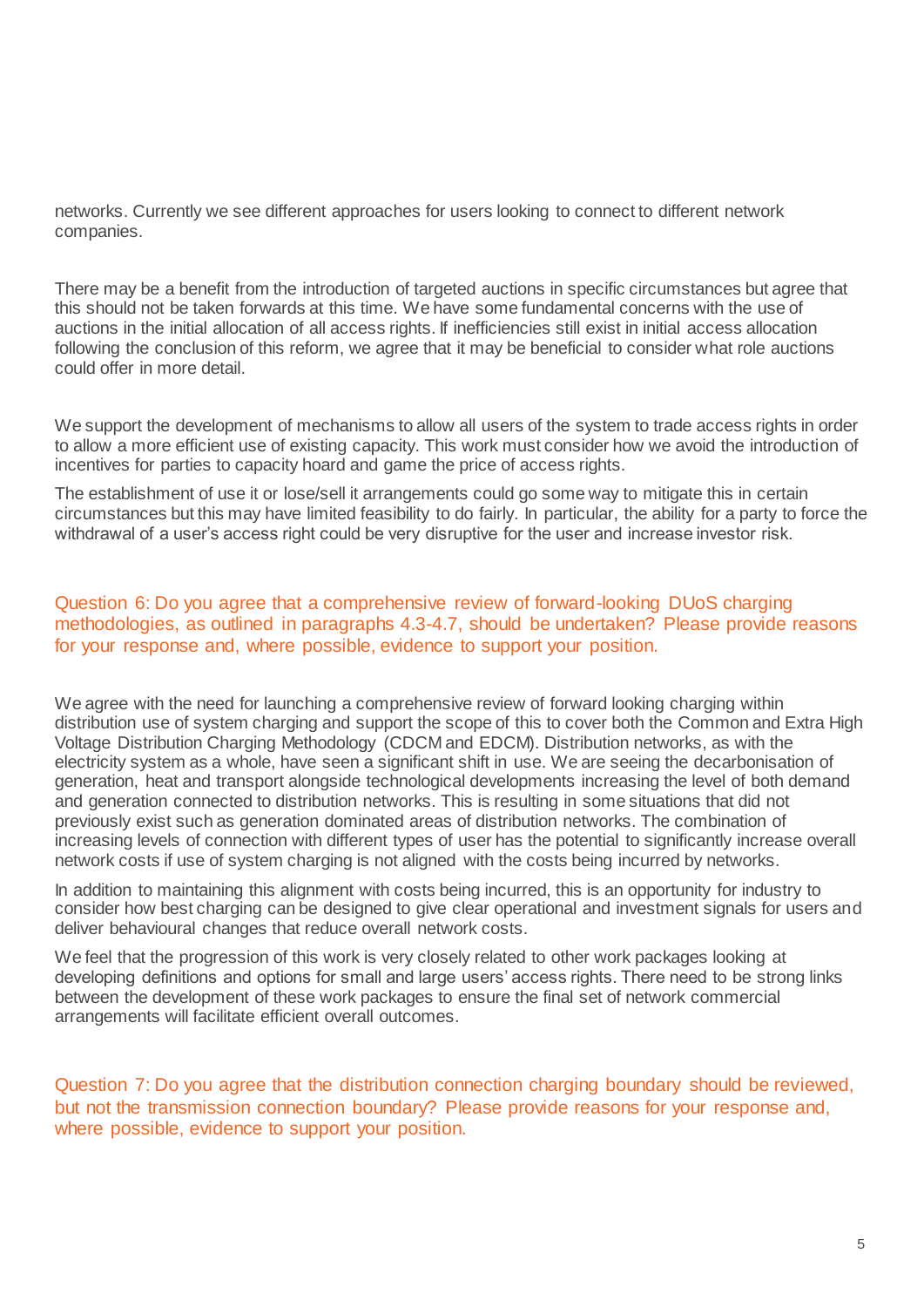networks. Currently we see different approaches for users looking to connect to different network companies.

There may be a benefit from the introduction of targeted auctions in specific circumstances but agree that this should not be taken forwards at this time. We have some fundamental concerns with the use of auctions in the initial allocation of all access rights. If inefficiencies still exist in initial access allocation following the conclusion of this reform, we agree that it may be beneficial to consider what role auctions could offer in more detail.

We support the development of mechanisms to allow all users of the system to trade access rights in order to allow a more efficient use of existing capacity. This work must consider how we avoid the introduction of incentives for parties to capacity hoard and game the price of access rights.

The establishment of use it or lose/sell it arrangements could go some way to mitigate this in certain circumstances but this may have limited feasibility to do fairly. In particular, the ability for a party to force the withdrawal of a user's access right could be very disruptive for the user and increase investor risk.

#### Question 6: Do you agree that a comprehensive review of forward-looking DUoS charging methodologies, as outlined in paragraphs 4.3-4.7, should be undertaken? Please provide reasons for your response and, where possible, evidence to support your position.

We agree with the need for launching a comprehensive review of forward looking charging within distribution use of system charging and support the scope of this to cover both the Common and Extra High Voltage Distribution Charging Methodology (CDCM and EDCM). Distribution networks, as with the electricity system as a whole, have seen a significant shift in use. We are seeing the decarbonisation of generation, heat and transport alongside technological developments increasing the level of both demand and generation connected to distribution networks. This is resulting in some situations that did not previously exist such as generation dominated areas of distribution networks. The combination of increasing levels of connection with different types of user has the potential to significantly increase overall network costs if use of system charging is not aligned with the costs being incurred by networks.

In addition to maintaining this alignment with costs being incurred, this is an opportunity for industry to consider how best charging can be designed to give clear operational and investment signals for users and deliver behavioural changes that reduce overall network costs.

We feel that the progression of this work is very closely related to other work packages looking at developing definitions and options for small and large users' access rights. There need to be strong links between the development of these work packages to ensure the final set of network commercial arrangements will facilitate efficient overall outcomes.

Question 7: Do you agree that the distribution connection charging boundary should be reviewed, but not the transmission connection boundary? Please provide reasons for your response and, where possible, evidence to support your position.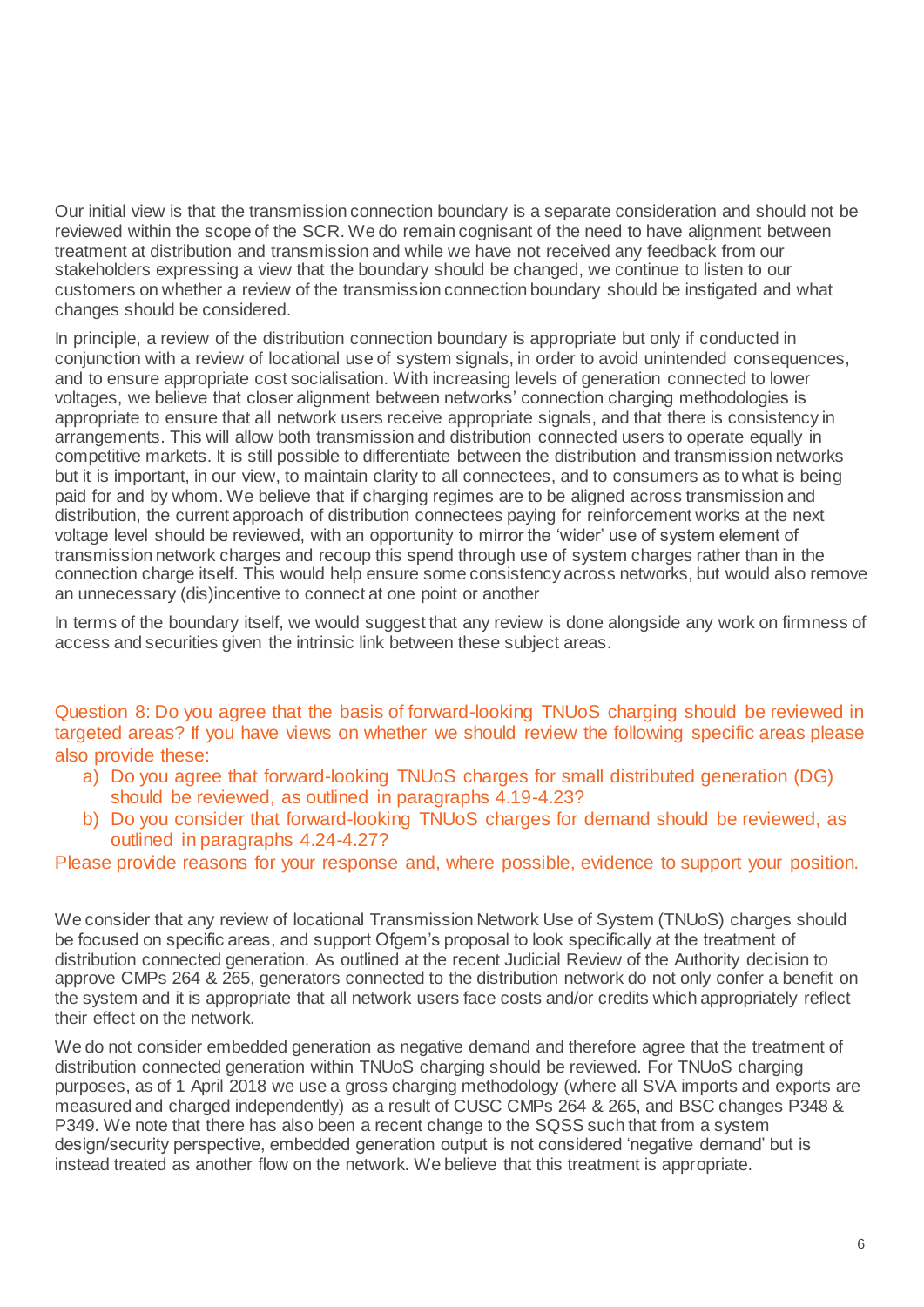Our initial view is that the transmission connection boundary is a separate consideration and should not be reviewed within the scope of the SCR. We do remain cognisant of the need to have alignment between treatment at distribution and transmission and while we have not received any feedback from our stakeholders expressing a view that the boundary should be changed, we continue to listen to our customers on whether a review of the transmission connection boundary should be instigated and what changes should be considered.

In principle, a review of the distribution connection boundary is appropriate but only if conducted in conjunction with a review of locational use of system signals, in order to avoid unintended consequences, and to ensure appropriate cost socialisation. With increasing levels of generation connected to lower voltages, we believe that closer alignment between networks' connection charging methodologies is appropriate to ensure that all network users receive appropriate signals, and that there is consistency in arrangements. This will allow both transmission and distribution connected users to operate equally in competitive markets. It is still possible to differentiate between the distribution and transmission networks but it is important, in our view, to maintain clarity to all connectees, and to consumers as to what is being paid for and by whom. We believe that if charging regimes are to be aligned across transmission and distribution, the current approach of distribution connectees paying for reinforcement works at the next voltage level should be reviewed, with an opportunity to mirror the 'wider' use of system element of transmission network charges and recoup this spend through use of system charges rather than in the connection charge itself. This would help ensure some consistency across networks, but would also remove an unnecessary (dis)incentive to connect at one point or another

In terms of the boundary itself, we would suggest that any review is done alongside any work on firmness of access and securities given the intrinsic link between these subject areas.

Question 8: Do you agree that the basis of forward-looking TNUoS charging should be reviewed in targeted areas? If you have views on whether we should review the following specific areas please also provide these:

- a) Do you agree that forward-looking TNUoS charges for small distributed generation (DG) should be reviewed, as outlined in paragraphs 4.19-4.23?
- b) Do you consider that forward-looking TNUoS charges for demand should be reviewed, as outlined in paragraphs 4.24-4.27?

Please provide reasons for your response and, where possible, evidence to support your position.

We consider that any review of locational Transmission Network Use of System (TNUoS) charges should be focused on specific areas, and support Ofgem's proposal to look specifically at the treatment of distribution connected generation. As outlined at the recent Judicial Review of the Authority decision to approve CMPs 264 & 265, generators connected to the distribution network do not only confer a benefit on the system and it is appropriate that all network users face costs and/or credits which appropriately reflect their effect on the network.

We do not consider embedded generation as negative demand and therefore agree that the treatment of distribution connected generation within TNUoS charging should be reviewed. For TNUoS charging purposes, as of 1 April 2018 we use a gross charging methodology (where all SVA imports and exports are measured and charged independently) as a result of CUSC CMPs 264 & 265, and BSC changes P348 & P349. We note that there has also been a recent change to the SQSS such that from a system design/security perspective, embedded generation output is not considered 'negative demand' but is instead treated as another flow on the network. We believe that this treatment is appropriate.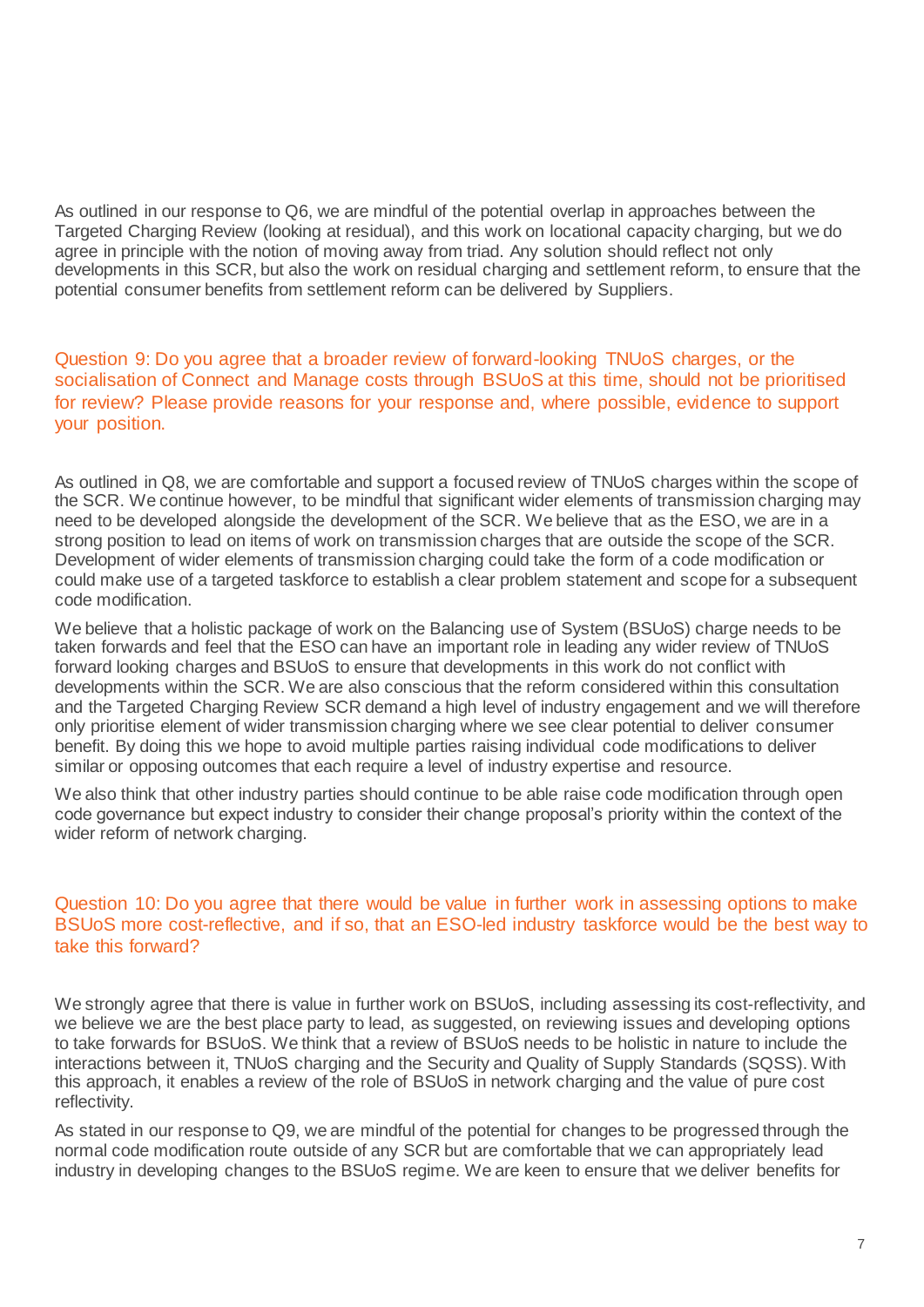As outlined in our response to Q6, we are mindful of the potential overlap in approaches between the Targeted Charging Review (looking at residual), and this work on locational capacity charging, but we do agree in principle with the notion of moving away from triad. Any solution should reflect not only developments in this SCR, but also the work on residual charging and settlement reform, to ensure that the potential consumer benefits from settlement reform can be delivered by Suppliers.

Question 9: Do you agree that a broader review of forward-looking TNUoS charges, or the socialisation of Connect and Manage costs through BSUoS at this time, should not be prioritised for review? Please provide reasons for your response and, where possible, evidence to support your position.

As outlined in Q8, we are comfortable and support a focused review of TNUoS charges within the scope of the SCR. We continue however, to be mindful that significant wider elements of transmission charging may need to be developed alongside the development of the SCR. We believe that as the ESO, we are in a strong position to lead on items of work on transmission charges that are outside the scope of the SCR. Development of wider elements of transmission charging could take the form of a code modification or could make use of a targeted taskforce to establish a clear problem statement and scope for a subsequent code modification.

We believe that a holistic package of work on the Balancing use of System (BSUoS) charge needs to be taken forwards and feel that the ESO can have an important role in leading any wider review of TNUoS forward looking charges and BSUoS to ensure that developments in this work do not conflict with developments within the SCR. We are also conscious that the reform considered within this consultation and the Targeted Charging Review SCR demand a high level of industry engagement and we will therefore only prioritise element of wider transmission charging where we see clear potential to deliver consumer benefit. By doing this we hope to avoid multiple parties raising individual code modifications to deliver similar or opposing outcomes that each require a level of industry expertise and resource.

We also think that other industry parties should continue to be able raise code modification through open code governance but expect industry to consider their change proposal's priority within the context of the wider reform of network charging.

#### Question 10: Do you agree that there would be value in further work in assessing options to make BSUoS more cost-reflective, and if so, that an ESO-led industry taskforce would be the best way to take this forward?

We strongly agree that there is value in further work on BSUoS, including assessing its cost-reflectivity, and we believe we are the best place party to lead, as suggested, on reviewing issues and developing options to take forwards for BSUoS. We think that a review of BSUoS needs to be holistic in nature to include the interactions between it, TNUoS charging and the Security and Quality of Supply Standards (SQSS). With this approach, it enables a review of the role of BSUoS in network charging and the value of pure cost reflectivity.

As stated in our response to Q9, we are mindful of the potential for changes to be progressed through the normal code modification route outside of any SCR but are comfortable that we can appropriately lead industry in developing changes to the BSUoS regime. We are keen to ensure that we deliver benefits for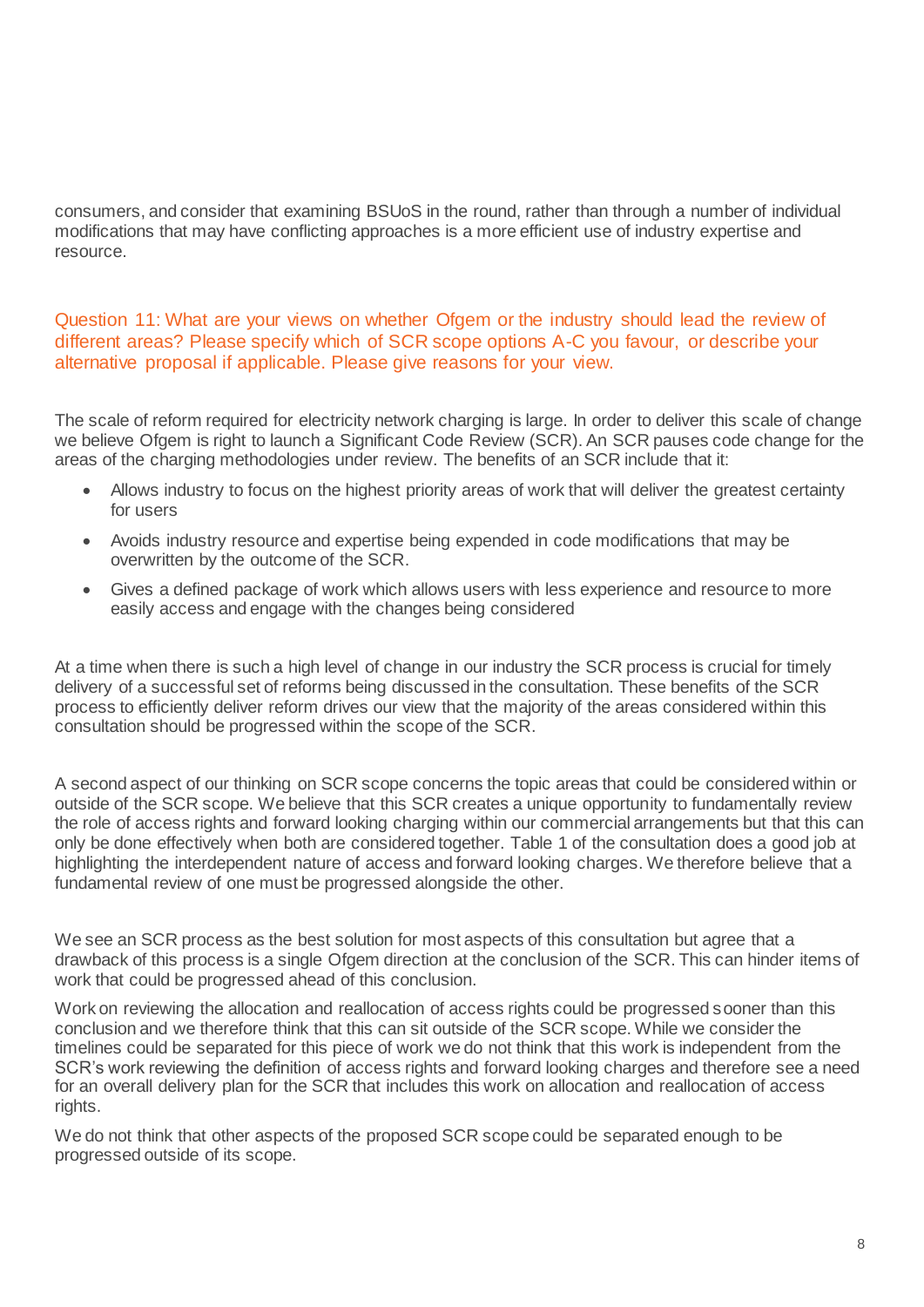consumers, and consider that examining BSUoS in the round, rather than through a number of individual modifications that may have conflicting approaches is a more efficient use of industry expertise and resource.

Question 11: What are your views on whether Ofgem or the industry should lead the review of different areas? Please specify which of SCR scope options A-C you favour, or describe your alternative proposal if applicable. Please give reasons for your view.

The scale of reform required for electricity network charging is large. In order to deliver this scale of change we believe Ofgem is right to launch a Significant Code Review (SCR). An SCR pauses code change for the areas of the charging methodologies under review. The benefits of an SCR include that it:

- Allows industry to focus on the highest priority areas of work that will deliver the greatest certainty for users
- Avoids industry resource and expertise being expended in code modifications that may be overwritten by the outcome of the SCR.
- Gives a defined package of work which allows users with less experience and resource to more easily access and engage with the changes being considered

At a time when there is such a high level of change in our industry the SCR process is crucial for timely delivery of a successful set of reforms being discussed in the consultation. These benefits of the SCR process to efficiently deliver reform drives our view that the majority of the areas considered within this consultation should be progressed within the scope of the SCR.

A second aspect of our thinking on SCR scope concerns the topic areas that could be considered within or outside of the SCR scope. We believe that this SCR creates a unique opportunity to fundamentally review the role of access rights and forward looking charging within our commercial arrangements but that this can only be done effectively when both are considered together. Table 1 of the consultation does a good job at highlighting the interdependent nature of access and forward looking charges. We therefore believe that a fundamental review of one must be progressed alongside the other.

We see an SCR process as the best solution for most aspects of this consultation but agree that a drawback of this process is a single Ofgem direction at the conclusion of the SCR. This can hinder items of work that could be progressed ahead of this conclusion.

Work on reviewing the allocation and reallocation of access rights could be progressed sooner than this conclusion and we therefore think that this can sit outside of the SCR scope. While we consider the timelines could be separated for this piece of work we do not think that this work is independent from the SCR's work reviewing the definition of access rights and forward looking charges and therefore see a need for an overall delivery plan for the SCR that includes this work on allocation and reallocation of access rights.

We do not think that other aspects of the proposed SCR scope could be separated enough to be progressed outside of its scope.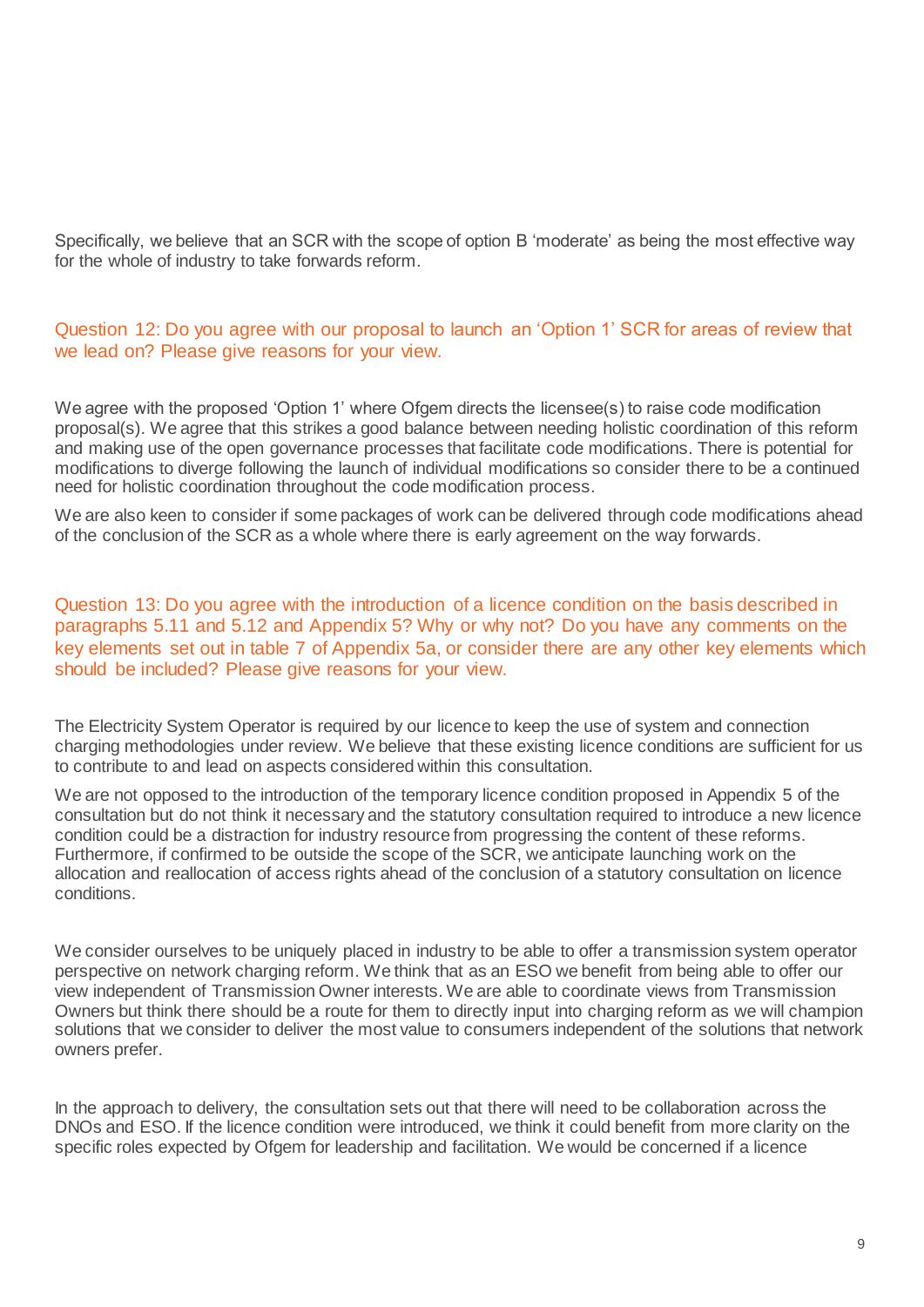Specifically, we believe that an SCR with the scope of option B 'moderate' as being the most effective way for the whole of industry to take forwards reform.

### Question 12: Do you agree with our proposal to launch an 'Option 1' SCR for areas of review that we lead on? Please give reasons for your view.

We agree with the proposed 'Option 1' where Ofgem directs the licensee(s) to raise code modification proposal(s). We agree that this strikes a good balance between needing holistic coordination of this reform and making use of the open governance processes that facilitate code modifications. There is potential for modifications to diverge following the launch of individual modifications so consider there to be a continued need for holistic coordination throughout the code modification process.

We are also keen to consider if some packages of work can be delivered through code modifications ahead of the conclusion of the SCR as a whole where there is early agreement on the way forwards.

Question 13: Do you agree with the introduction of a licence condition on the basis described in paragraphs 5.11 and 5.12 and Appendix 5? Why or why not? Do you have any comments on the key elements set out in table 7 of Appendix 5a, or consider there are any other key elements which should be included? Please give reasons for your view.

The Electricity System Operator is required by our licence to keep the use of system and connection charging methodologies under review. We believe that these existing licence conditions are sufficient for us to contribute to and lead on aspects considered within this consultation.

We are not opposed to the introduction of the temporary licence condition proposed in Appendix 5 of the consultation but do not think it necessary and the statutory consultation required to introduce a new licence condition could be a distraction for industry resource from progressing the content of these reforms. Furthermore, if confirmed to be outside the scope of the SCR, we anticipate launching work on the allocation and reallocation of access rights ahead of the conclusion of a statutory consultation on licence conditions.

We consider ourselves to be uniquely placed in industry to be able to offer a transmission system operator perspective on network charging reform. We think that as an ESO we benefit from being able to offer our view independent of Transmission Owner interests. We are able to coordinate views from Transmission Owners but think there should be a route for them to directly input into charging reform as we will champion solutions that we consider to deliver the most value to consumers independent of the solutions that network owners prefer.

In the approach to delivery, the consultation sets out that there will need to be collaboration across the DNOs and ESO. If the licence condition were introduced, we think it could benefit from more clarity on the specific roles expected by Ofgem for leadership and facilitation. We would be concerned if a licence